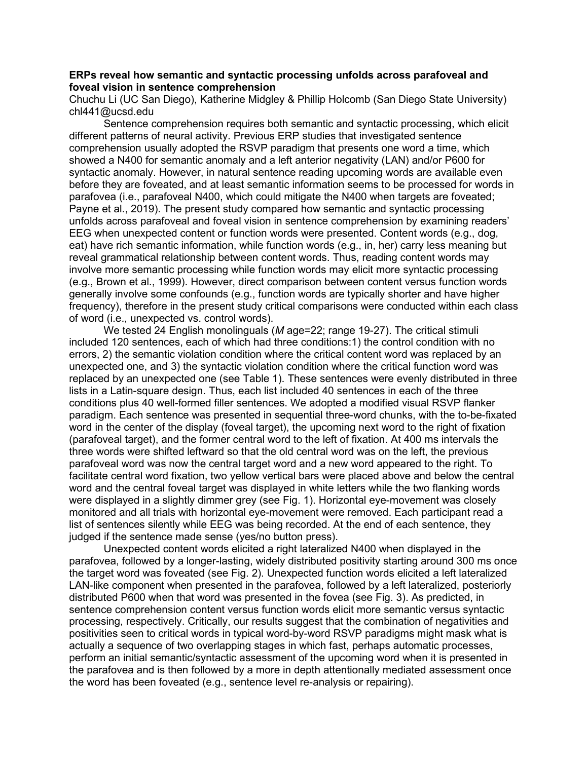## **ERPs reveal how semantic and syntactic processing unfolds across parafoveal and foveal vision in sentence comprehension**

Chuchu Li (UC San Diego), Katherine Midgley & Phillip Holcomb (San Diego State University) chl441@ucsd.edu

Sentence comprehension requires both semantic and syntactic processing, which elicit different patterns of neural activity. Previous ERP studies that investigated sentence comprehension usually adopted the RSVP paradigm that presents one word a time, which showed a N400 for semantic anomaly and a left anterior negativity (LAN) and/or P600 for syntactic anomaly. However, in natural sentence reading upcoming words are available even before they are foveated, and at least semantic information seems to be processed for words in parafovea (i.e., parafoveal N400, which could mitigate the N400 when targets are foveated; Payne et al., 2019). The present study compared how semantic and syntactic processing unfolds across parafoveal and foveal vision in sentence comprehension by examining readers' EEG when unexpected content or function words were presented. Content words (e.g., dog, eat) have rich semantic information, while function words (e.g., in, her) carry less meaning but reveal grammatical relationship between content words. Thus, reading content words may involve more semantic processing while function words may elicit more syntactic processing (e.g., Brown et al., 1999). However, direct comparison between content versus function words generally involve some confounds (e.g., function words are typically shorter and have higher frequency), therefore in the present study critical comparisons were conducted within each class of word (i.e., unexpected vs. control words).

We tested 24 English monolinguals (*M* age=22; range 19-27). The critical stimuli included 120 sentences, each of which had three conditions:1) the control condition with no errors, 2) the semantic violation condition where the critical content word was replaced by an unexpected one, and 3) the syntactic violation condition where the critical function word was replaced by an unexpected one (see Table 1). These sentences were evenly distributed in three lists in a Latin-square design. Thus, each list included 40 sentences in each of the three conditions plus 40 well-formed filler sentences. We adopted a modified visual RSVP flanker paradigm. Each sentence was presented in sequential three-word chunks, with the to-be-fixated word in the center of the display (foveal target), the upcoming next word to the right of fixation (parafoveal target), and the former central word to the left of fixation. At 400 ms intervals the three words were shifted leftward so that the old central word was on the left, the previous parafoveal word was now the central target word and a new word appeared to the right. To facilitate central word fixation, two yellow vertical bars were placed above and below the central word and the central foveal target was displayed in white letters while the two flanking words were displayed in a slightly dimmer grey (see Fig. 1). Horizontal eye-movement was closely monitored and all trials with horizontal eye-movement were removed. Each participant read a list of sentences silently while EEG was being recorded. At the end of each sentence, they judged if the sentence made sense (yes/no button press).

Unexpected content words elicited a right lateralized N400 when displayed in the parafovea, followed by a longer-lasting, widely distributed positivity starting around 300 ms once the target word was foveated (see Fig. 2). Unexpected function words elicited a left lateralized LAN-like component when presented in the parafovea, followed by a left lateralized, posteriorly distributed P600 when that word was presented in the fovea (see Fig. 3). As predicted, in sentence comprehension content versus function words elicit more semantic versus syntactic processing, respectively. Critically, our results suggest that the combination of negativities and positivities seen to critical words in typical word-by-word RSVP paradigms might mask what is actually a sequence of two overlapping stages in which fast, perhaps automatic processes, perform an initial semantic/syntactic assessment of the upcoming word when it is presented in the parafovea and is then followed by a more in depth attentionally mediated assessment once the word has been foveated (e.g., sentence level re-analysis or repairing).